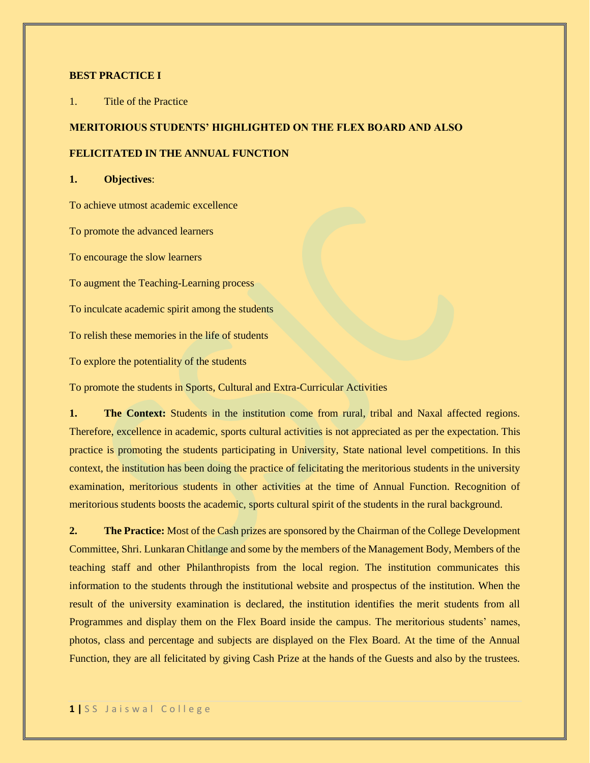#### **BEST PRACTICE I**

1. Title of the Practice

# **MERITORIOUS STUDENTS' HIGHLIGHTED ON THE FLEX BOARD AND ALSO**

## **FELICITATED IN THE ANNUAL FUNCTION**

#### **1. Objectives**:

To achieve utmost academic excellence

To promote the advanced learners

To encourage the slow learners

To augment the Teaching-Learning process

To inculcate academic spirit among the students

To relish these memories in the life of students

To explore the potentiality of the students

To promote the students in Sports, Cultural and Extra-Curricular Activities

**1. The Context:** Students in the institution come from rural, tribal and Naxal affected regions. Therefore, excellence in academic, sports cultural activities is not appreciated as per the expectation. This practice is promoting the students participating in University, State national level competitions. In this context, the institution has been doing the practice of felicitating the meritorious students in the university examination, meritorious students in other activities at the time of Annual Function. Recognition of meritorious students boosts the academic, sports cultural spirit of the students in the rural background.

**2. The Practice:** Most of the Cash prizes are sponsored by the Chairman of the College Development Committee, Shri. Lunkaran Chitlange and some by the members of the Management Body, Members of the teaching staff and other Philanthropists from the local region. The institution communicates this information to the students through the institutional website and prospectus of the institution. When the result of the university examination is declared, the institution identifies the merit students from all Programmes and display them on the Flex Board inside the campus. The meritorious students' names, photos, class and percentage and subjects are displayed on the Flex Board. At the time of the Annual Function, they are all felicitated by giving Cash Prize at the hands of the Guests and also by the trustees.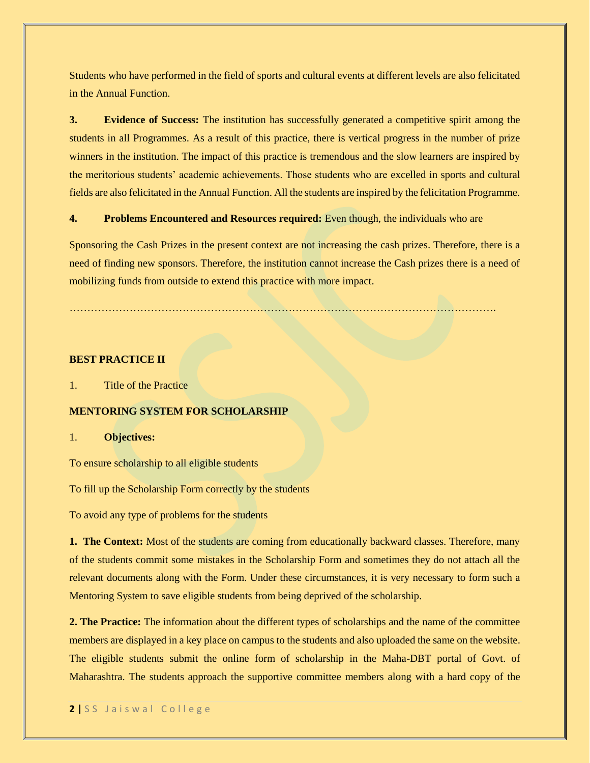Students who have performed in the field of sports and cultural events at different levels are also felicitated in the Annual Function.

**3. Evidence of Success:** The institution has successfully generated a competitive spirit among the students in all Programmes. As a result of this practice, there is vertical progress in the number of prize winners in the institution. The impact of this practice is tremendous and the slow learners are inspired by the meritorious students' academic achievements. Those students who are excelled in sports and cultural fields are also felicitated in the Annual Function. All the students are inspired by the felicitation Programme.

#### **4. Problems Encountered and Resources required:** Even though, the individuals who are

Sponsoring the Cash Prizes in the present context are not increasing the cash prizes. Therefore, there is a need of finding new sponsors. Therefore, the institution cannot increase the Cash prizes there is a need of mobilizing funds from outside to extend this practice with more impact.

………………………………………………………………………………………………………….

#### **BEST PRACTICE II**

1. Title of the Practice

### **MENTORING SYSTEM FOR SCHOLARSHIP**

#### 1. **Objectives:**

To ensure scholarship to all eligible students

To fill up the Scholarship Form correctly by the students

To avoid any type of problems for the students

**1. The Context:** Most of the students are coming from educationally backward classes. Therefore, many of the students commit some mistakes in the Scholarship Form and sometimes they do not attach all the relevant documents along with the Form. Under these circumstances, it is very necessary to form such a Mentoring System to save eligible students from being deprived of the scholarship.

**2. The Practice:** The information about the different types of scholarships and the name of the committee members are displayed in a key place on campus to the students and also uploaded the same on the website. The eligible students submit the online form of scholarship in the Maha-DBT portal of Govt. of Maharashtra. The students approach the supportive committee members along with a hard copy of the